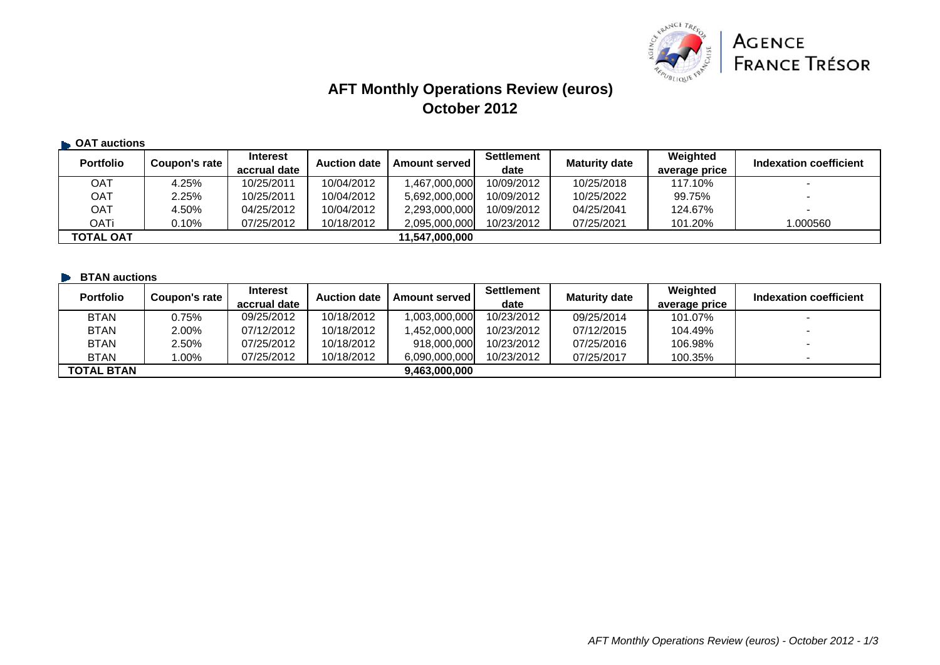

# **AFT Monthly Operations Review (euros) October 2012**

| <b>CAT auctions</b> |               |                                 |                     |                      |                           |                      |                           |                          |
|---------------------|---------------|---------------------------------|---------------------|----------------------|---------------------------|----------------------|---------------------------|--------------------------|
| <b>Portfolio</b>    | Coupon's rate | <b>Interest</b><br>accrual date | <b>Auction date</b> | <b>Amount served</b> | <b>Settlement</b><br>date | <b>Maturity date</b> | Weighted<br>average price | Indexation coefficient   |
| OAT                 | 4.25%         | 10/25/2011                      | 10/04/2012          | 1,467,000,000        | 10/09/2012                | 10/25/2018           | 117.10%                   | $\overline{\phantom{0}}$ |
| <b>OAT</b>          | 2.25%         | 10/25/2011                      | 10/04/2012          | 5,692,000,000        | 10/09/2012                | 10/25/2022           | 99.75%                    | $\overline{\phantom{a}}$ |
| OAT                 | 4.50%         | 04/25/2012                      | 10/04/2012          | 2,293,000,000        | 10/09/2012                | 04/25/2041           | 124.67%                   | $\overline{\phantom{0}}$ |
| OATi                | 0.10%         | 07/25/2012                      | 10/18/2012          | 2,095,000,000        | 10/23/2012                | 07/25/2021           | 101.20%                   | 1.000560                 |
| <b>TOTAL OAT</b>    |               |                                 |                     | 11,547,000,000       |                           |                      |                           |                          |

|  |  | <b>BTAN</b> auctions |  |
|--|--|----------------------|--|
|--|--|----------------------|--|

| <b>Portfolio</b>  | Coupon's rate | <b>Interest</b><br>accrual date | <b>Auction date</b> | <b>Amount served</b> | <b>Settlement</b><br>date | <b>Maturity date</b> | Weighted<br>average price | Indexation coefficient |
|-------------------|---------------|---------------------------------|---------------------|----------------------|---------------------------|----------------------|---------------------------|------------------------|
| <b>BTAN</b>       | ጋ.75%         | 09/25/2012                      | 10/18/2012          | 000,000,000,1        | 10/23/2012                | 09/25/2014           | 101.07%                   |                        |
| <b>BTAN</b>       | 2.00%         | 07/12/2012                      | 10/18/2012          | 452,000,000,001,     | 10/23/2012                | 07/12/2015           | 104.49%                   |                        |
| <b>BTAN</b>       | 2.50%         | 07/25/2012                      | 10/18/2012          | 918,000,000          | 10/23/2012                | 07/25/2016           | 106.98%                   |                        |
| <b>BTAN</b>       | $.00\%$       | 07/25/2012                      | 10/18/2012          | 6,090,000,000        | 10/23/2012                | 07/25/2017           | 100.35%                   |                        |
| <b>TOTAL BTAN</b> |               |                                 |                     | 9,463,000,000        |                           |                      |                           |                        |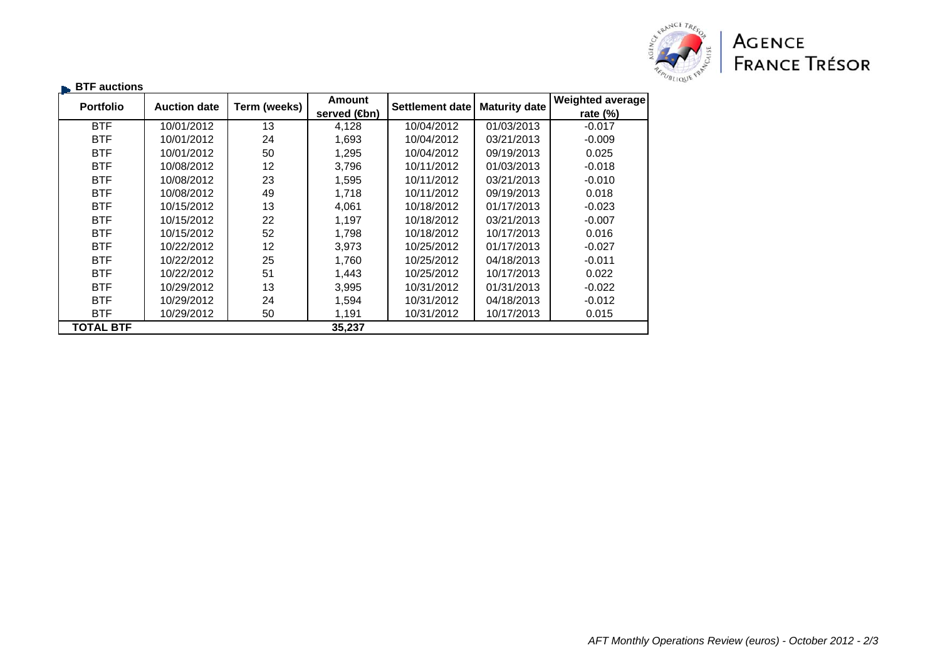

| $\blacktriangleright$ BTF auctions |                     |              |                           |                        |                      |                  |
|------------------------------------|---------------------|--------------|---------------------------|------------------------|----------------------|------------------|
| <b>Portfolio</b>                   | <b>Auction date</b> | Term (weeks) | <b>Amount</b>             | <b>Settlement date</b> | <b>Maturity date</b> | Weighted average |
|                                    |                     |              | served ( <del>C</del> bn) |                        |                      | rate $(\%)$      |
| <b>BTF</b>                         | 10/01/2012          | 13           | 4,128                     | 10/04/2012             | 01/03/2013           | $-0.017$         |
| <b>BTF</b>                         | 10/01/2012          | 24           | 1,693                     | 10/04/2012             | 03/21/2013           | $-0.009$         |
| <b>BTF</b>                         | 10/01/2012          | 50           | 1,295                     | 10/04/2012             | 09/19/2013           | 0.025            |
| <b>BTF</b>                         | 10/08/2012          | 12           | 3,796                     | 10/11/2012             | 01/03/2013           | $-0.018$         |
| <b>BTF</b>                         | 10/08/2012          | 23           | 1,595                     | 10/11/2012             | 03/21/2013           | $-0.010$         |
| <b>BTF</b>                         | 10/08/2012          | 49           | 1,718                     | 10/11/2012             | 09/19/2013           | 0.018            |
| <b>BTF</b>                         | 10/15/2012          | 13           | 4,061                     | 10/18/2012             | 01/17/2013           | $-0.023$         |
| <b>BTF</b>                         | 10/15/2012          | 22           | 1,197                     | 10/18/2012             | 03/21/2013           | $-0.007$         |
| <b>BTF</b>                         | 10/15/2012          | 52           | 1,798                     | 10/18/2012             | 10/17/2013           | 0.016            |
| <b>BTF</b>                         | 10/22/2012          | 12           | 3,973                     | 10/25/2012             | 01/17/2013           | $-0.027$         |
| <b>BTF</b>                         | 10/22/2012          | 25           | 1,760                     | 10/25/2012             | 04/18/2013           | $-0.011$         |
| <b>BTF</b>                         | 10/22/2012          | 51           | 1,443                     | 10/25/2012             | 10/17/2013           | 0.022            |
| <b>BTF</b>                         | 10/29/2012          | 13           | 3,995                     | 10/31/2012             | 01/31/2013           | $-0.022$         |
| <b>BTF</b>                         | 10/29/2012          | 24           | 1,594                     | 10/31/2012             | 04/18/2013           | -0.012           |
| <b>BTF</b>                         | 10/29/2012          | 50           | 1,191                     | 10/31/2012             | 10/17/2013           | 0.015            |
| <b>TOTAL BTF</b>                   |                     |              | 35,237                    |                        |                      |                  |